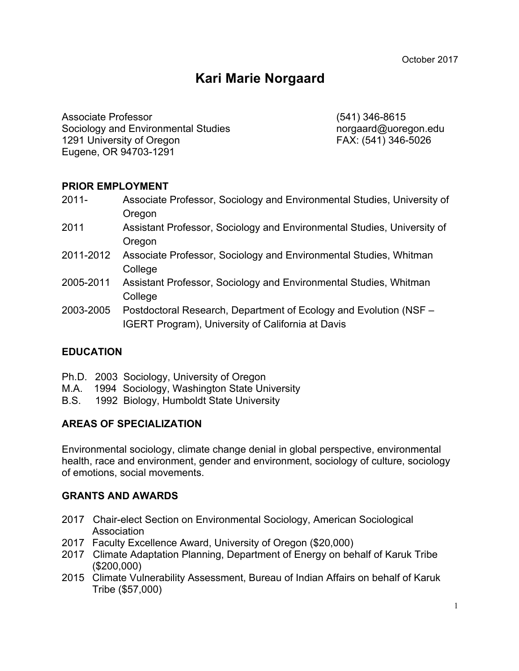# **Kari Marie Norgaard**

Associate Professor (541) 346-8615 Sociology and Environmental Studies norgaard@uoregon.edu 1291 University of Oregon FAX: (541) 346-5026 Eugene, OR 94703-1291

# **PRIOR EMPLOYMENT**

- 2011- Associate Professor, Sociology and Environmental Studies, University of Oregon
- 2011 Assistant Professor, Sociology and Environmental Studies, University of **Oregon**
- 2011-2012 Associate Professor, Sociology and Environmental Studies, Whitman College
- 2005-2011 Assistant Professor, Sociology and Environmental Studies, Whitman College
- 2003-2005 Postdoctoral Research, Department of Ecology and Evolution (NSF IGERT Program), University of California at Davis

# **EDUCATION**

- Ph.D. 2003 Sociology, University of Oregon
- M.A. 1994 Sociology, Washington State University
- B.S. 1992 Biology, Humboldt State University

# **AREAS OF SPECIALIZATION**

Environmental sociology, climate change denial in global perspective, environmental health, race and environment, gender and environment, sociology of culture, sociology of emotions, social movements.

### **GRANTS AND AWARDS**

- 2017 Chair-elect Section on Environmental Sociology, American Sociological Association
- 2017 Faculty Excellence Award, University of Oregon (\$20,000)
- 2017 Climate Adaptation Planning, Department of Energy on behalf of Karuk Tribe (\$200,000)
- 2015 Climate Vulnerability Assessment, Bureau of Indian Affairs on behalf of Karuk Tribe (\$57,000)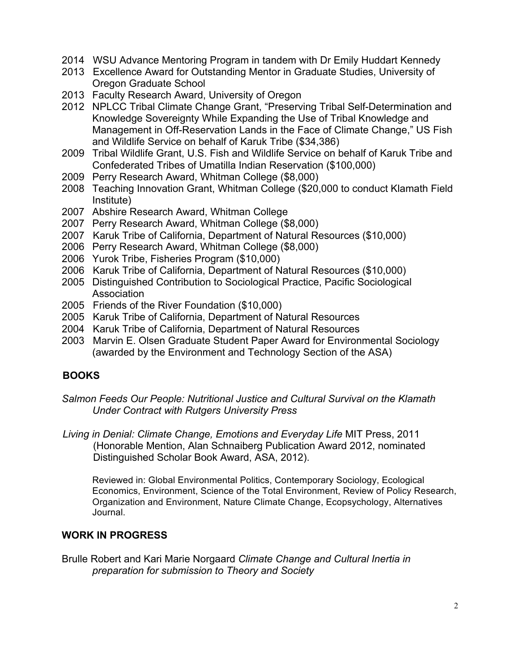- 2014 WSU Advance Mentoring Program in tandem with Dr Emily Huddart Kennedy
- 2013 Excellence Award for Outstanding Mentor in Graduate Studies, University of Oregon Graduate School
- 2013 Faculty Research Award, University of Oregon
- 2012 NPLCC Tribal Climate Change Grant, "Preserving Tribal Self-Determination and Knowledge Sovereignty While Expanding the Use of Tribal Knowledge and Management in Off-Reservation Lands in the Face of Climate Change," US Fish and Wildlife Service on behalf of Karuk Tribe (\$34,386)
- 2009 Tribal Wildlife Grant, U.S. Fish and Wildlife Service on behalf of Karuk Tribe and Confederated Tribes of Umatilla Indian Reservation (\$100,000)
- 2009 Perry Research Award, Whitman College (\$8,000)
- 2008 Teaching Innovation Grant, Whitman College (\$20,000 to conduct Klamath Field Institute)
- 2007 Abshire Research Award, Whitman College
- 2007 Perry Research Award, Whitman College (\$8,000)
- 2007 Karuk Tribe of California, Department of Natural Resources (\$10,000)
- 2006 Perry Research Award, Whitman College (\$8,000)
- 2006 Yurok Tribe, Fisheries Program (\$10,000)
- 2006 Karuk Tribe of California, Department of Natural Resources (\$10,000)
- 2005 Distinguished Contribution to Sociological Practice, Pacific Sociological Association
- 2005 Friends of the River Foundation (\$10,000)
- 2005 Karuk Tribe of California, Department of Natural Resources
- 2004 Karuk Tribe of California, Department of Natural Resources
- 2003 Marvin E. Olsen Graduate Student Paper Award for Environmental Sociology (awarded by the Environment and Technology Section of the ASA)

# **BOOKS**

*Salmon Feeds Our People: Nutritional Justice and Cultural Survival on the Klamath Under Contract with Rutgers University Press*

*Living in Denial: Climate Change, Emotions and Everyday Life* MIT Press, 2011 (Honorable Mention, Alan Schnaiberg Publication Award 2012, nominated Distinguished Scholar Book Award, ASA, 2012).

Reviewed in: Global Environmental Politics, Contemporary Sociology, Ecological Economics, Environment, Science of the Total Environment, Review of Policy Research, Organization and Environment, Nature Climate Change, Ecopsychology, Alternatives Journal.

# **WORK IN PROGRESS**

Brulle Robert and Kari Marie Norgaard *Climate Change and Cultural Inertia in preparation for submission to Theory and Society*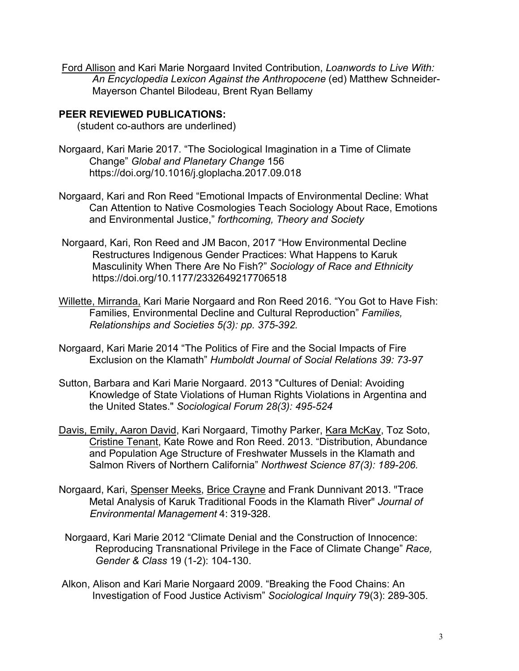Ford Allison and Kari Marie Norgaard Invited Contribution, *Loanwords to Live With: An Encyclopedia Lexicon Against the Anthropocene* (ed) Matthew Schneider-Mayerson Chantel Bilodeau, Brent Ryan Bellamy

# **PEER REVIEWED PUBLICATIONS:**

(student co-authors are underlined)

- Norgaard, Kari Marie 2017. "The Sociological Imagination in a Time of Climate Change" *Global and Planetary Change* 156 https://doi.org/10.1016/j.gloplacha.2017.09.018
- Norgaard, Kari and Ron Reed "Emotional Impacts of Environmental Decline: What Can Attention to Native Cosmologies Teach Sociology About Race, Emotions and Environmental Justice," *forthcoming, Theory and Society*
- Norgaard, Kari, Ron Reed and JM Bacon, 2017 "How Environmental Decline Restructures Indigenous Gender Practices: What Happens to Karuk Masculinity When There Are No Fish?" *Sociology of Race and Ethnicity* https://doi.org/10.1177/2332649217706518
- Willette, Mirranda, Kari Marie Norgaard and Ron Reed 2016. "You Got to Have Fish: Families, Environmental Decline and Cultural Reproduction" *Families, Relationships and Societies 5(3): pp. 375-392.*
- Norgaard, Kari Marie 2014 "The Politics of Fire and the Social Impacts of Fire Exclusion on the Klamath" *Humboldt Journal of Social Relations 39: 73-97*
- Sutton, Barbara and Kari Marie Norgaard. 2013 "Cultures of Denial: Avoiding Knowledge of State Violations of Human Rights Violations in Argentina and the United States." *Sociological Forum 28(3): 495-524*
- Davis, Emily, Aaron David, Kari Norgaard, Timothy Parker, Kara McKay, Toz Soto, Cristine Tenant, Kate Rowe and Ron Reed. 2013. "Distribution, Abundance and Population Age Structure of Freshwater Mussels in the Klamath and Salmon Rivers of Northern California" *Northwest Science 87(3): 189-206.*
- Norgaard, Kari, Spenser Meeks, Brice Crayne and Frank Dunnivant 2013. "Trace Metal Analysis of Karuk Traditional Foods in the Klamath River" *Journal of Environmental Management* 4: 319-328.
- Norgaard, Kari Marie 2012 "Climate Denial and the Construction of Innocence: Reproducing Transnational Privilege in the Face of Climate Change" *Race, Gender & Class* 19 (1-2): 104-130.
- Alkon, Alison and Kari Marie Norgaard 2009. "Breaking the Food Chains: An Investigation of Food Justice Activism" *Sociological Inquiry* 79(3): 289-305.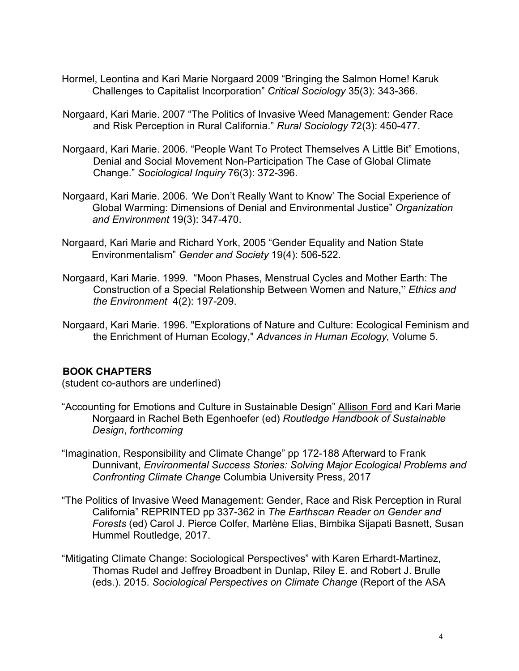- Hormel, Leontina and Kari Marie Norgaard 2009 "Bringing the Salmon Home! Karuk Challenges to Capitalist Incorporation" *Critical Sociology* 35(3): 343-366.
- Norgaard, Kari Marie. 2007 "The Politics of Invasive Weed Management: Gender Race and Risk Perception in Rural California." *Rural Sociology* 72(3): 450-477.
- Norgaard, Kari Marie. 2006. "People Want To Protect Themselves A Little Bit" Emotions, Denial and Social Movement Non-Participation The Case of Global Climate Change." *Sociological Inquiry* 76(3): 372-396.
- Norgaard, Kari Marie. 2006. *'*We Don't Really Want to Know' The Social Experience of Global Warming: Dimensions of Denial and Environmental Justice" *Organization and Environment* 19(3): 347-470.
- Norgaard, Kari Marie and Richard York, 2005 "Gender Equality and Nation State Environmentalism" *Gender and Society* 19(4): 506-522.
- Norgaard, Kari Marie. 1999. "Moon Phases, Menstrual Cycles and Mother Earth: The Construction of a Special Relationship Between Women and Nature," *Ethics and the Environment* 4(2): 197-209.
- Norgaard, Kari Marie. 1996. "Explorations of Nature and Culture: Ecological Feminism and the Enrichment of Human Ecology," *Advances in Human Ecology,* Volume 5.

### **BOOK CHAPTERS**

(student co-authors are underlined)

- "Accounting for Emotions and Culture in Sustainable Design" Allison Ford and Kari Marie Norgaard in Rachel Beth Egenhoefer (ed) *Routledge Handbook of Sustainable Design*, *forthcoming*
- "Imagination, Responsibility and Climate Change" pp 172-188 Afterward to Frank Dunnivant, *Environmental Success Stories: Solving Major Ecological Problems and Confronting Climate Change* Columbia University Press, 2017
- "The Politics of Invasive Weed Management: Gender, Race and Risk Perception in Rural California" REPRINTED pp 337-362 in *The Earthscan Reader on Gender and Forests* (ed) Carol J. Pierce Colfer, Marlène Elias, Bimbika Sijapati Basnett, Susan Hummel Routledge, 2017.
- "Mitigating Climate Change: Sociological Perspectives" with Karen Erhardt-Martinez, Thomas Rudel and Jeffrey Broadbent in Dunlap, Riley E. and Robert J. Brulle (eds.). 2015. *Sociological Perspectives on Climate Change* (Report of the ASA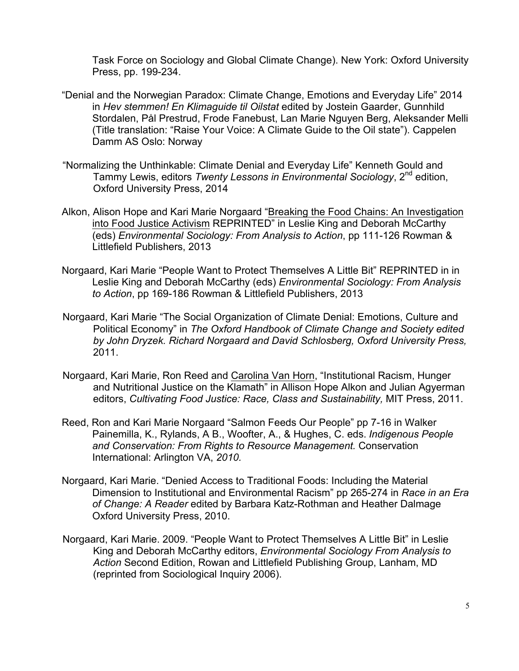Task Force on Sociology and Global Climate Change). New York: Oxford University Press, pp. 199-234.

- "Denial and the Norwegian Paradox: Climate Change, Emotions and Everyday Life" 2014 in *Hev stemmen! En Klimaguide til Oilstat* edited by Jostein Gaarder, Gunnhild Stordalen, Pål Prestrud, Frode Fanebust, Lan Marie Nguyen Berg, Aleksander Melli (Title translation: "Raise Your Voice: A Climate Guide to the Oil state"). Cappelen Damm AS Oslo: Norway
- "Normalizing the Unthinkable: Climate Denial and Everyday Life" Kenneth Gould and Tammy Lewis, editors *Twenty Lessons in Environmental Sociology*, 2<sup>nd</sup> edition, Oxford University Press, 2014
- Alkon, Alison Hope and Kari Marie Norgaard "Breaking the Food Chains: An Investigation into Food Justice Activism REPRINTED" in Leslie King and Deborah McCarthy (eds) *Environmental Sociology: From Analysis to Action*, pp 111-126 Rowman & Littlefield Publishers, 2013
- Norgaard, Kari Marie "People Want to Protect Themselves A Little Bit" REPRINTED in in Leslie King and Deborah McCarthy (eds) *Environmental Sociology: From Analysis to Action*, pp 169-186 Rowman & Littlefield Publishers, 2013
- Norgaard, Kari Marie "The Social Organization of Climate Denial: Emotions, Culture and Political Economy" in *The Oxford Handbook of Climate Change and Society edited by John Dryzek. Richard Norgaard and David Schlosberg, Oxford University Press,*  2011.
- Norgaard, Kari Marie, Ron Reed and Carolina Van Horn, "Institutional Racism, Hunger and Nutritional Justice on the Klamath" in Allison Hope Alkon and Julian Agyerman editors, *Cultivating Food Justice: Race, Class and Sustainability,* MIT Press, 2011.
- Reed, Ron and Kari Marie Norgaard "Salmon Feeds Our People" pp 7-16 in Walker Painemilla, K., Rylands, A B., Woofter, A., & Hughes, C. eds. *Indigenous People and Conservation: From Rights to Resource Management.* Conservation International: Arlington VA, *2010.*
- Norgaard, Kari Marie. "Denied Access to Traditional Foods: Including the Material Dimension to Institutional and Environmental Racism" pp 265-274 in *Race in an Era of Change: A Reader* edited by Barbara Katz-Rothman and Heather Dalmage Oxford University Press, 2010.
- Norgaard, Kari Marie. 2009. "People Want to Protect Themselves A Little Bit" in Leslie King and Deborah McCarthy editors, *Environmental Sociology From Analysis to Action* Second Edition, Rowan and Littlefield Publishing Group, Lanham, MD (reprinted from Sociological Inquiry 2006).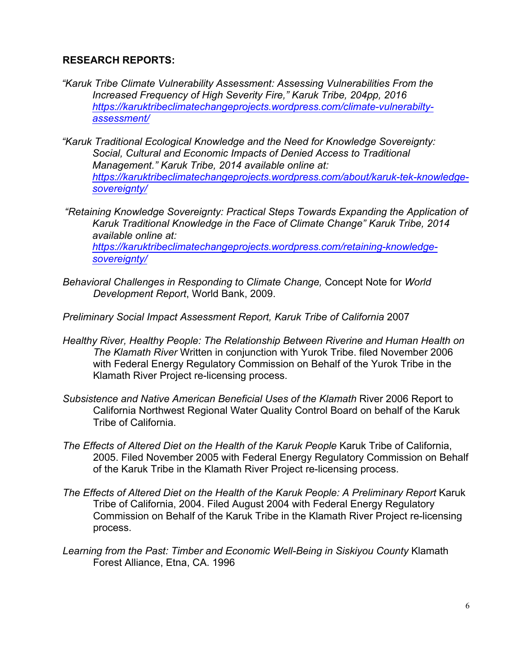# **RESEARCH REPORTS:**

*sovereignty/*

- *"Karuk Tribe Climate Vulnerability Assessment: Assessing Vulnerabilities From the Increased Frequency of High Severity Fire," Karuk Tribe, 204pp, 2016 https://karuktribeclimatechangeprojects.wordpress.com/climate-vulnerabiltyassessment/*
- *"Karuk Traditional Ecological Knowledge and the Need for Knowledge Sovereignty: Social, Cultural and Economic Impacts of Denied Access to Traditional Management." Karuk Tribe, 2014 available online at: https://karuktribeclimatechangeprojects.wordpress.com/about/karuk-tek-knowledgesovereignty/*
- *"Retaining Knowledge Sovereignty: Practical Steps Towards Expanding the Application of Karuk Traditional Knowledge in the Face of Climate Change" Karuk Tribe, 2014 available online at: https://karuktribeclimatechangeprojects.wordpress.com/retaining-knowledge-*
- *Behavioral Challenges in Responding to Climate Change,* Concept Note for *World Development Report*, World Bank, 2009.
- *Preliminary Social Impact Assessment Report, Karuk Tribe of California* 2007
- *Healthy River, Healthy People: The Relationship Between Riverine and Human Health on The Klamath River* Written in conjunction with Yurok Tribe. filed November 2006 with Federal Energy Regulatory Commission on Behalf of the Yurok Tribe in the Klamath River Project re-licensing process.
- *Subsistence and Native American Beneficial Uses of the Klamath* River 2006 Report to California Northwest Regional Water Quality Control Board on behalf of the Karuk Tribe of California.
- *The Effects of Altered Diet on the Health of the Karuk People* Karuk Tribe of California, 2005. Filed November 2005 with Federal Energy Regulatory Commission on Behalf of the Karuk Tribe in the Klamath River Project re-licensing process.
- *The Effects of Altered Diet on the Health of the Karuk People: A Preliminary Report* Karuk Tribe of California, 2004. Filed August 2004 with Federal Energy Regulatory Commission on Behalf of the Karuk Tribe in the Klamath River Project re-licensing process.
- *Learning from the Past: Timber and Economic Well-Being in Siskiyou County* Klamath Forest Alliance, Etna, CA. 1996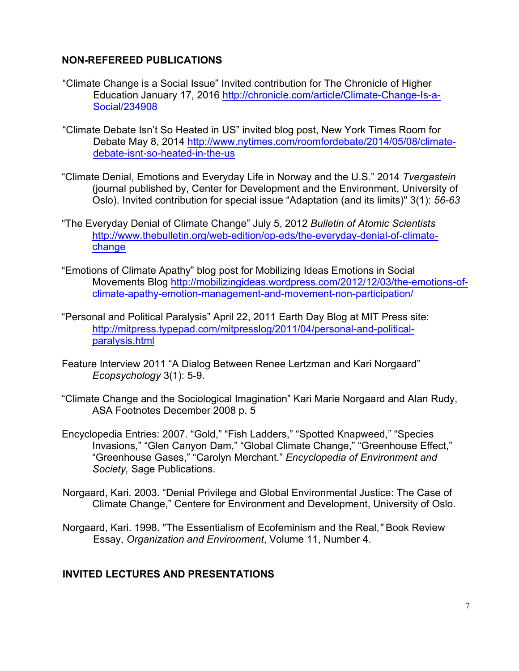# **NON-REFEREED PUBLICATIONS**

- "Climate Change is a Social Issue" Invited contribution for The Chronicle of Higher Education January 17, 2016 http://chronicle.com/article/Climate-Change-Is-a-Social/234908
- "Climate Debate Isn't So Heated in US" invited blog post, New York Times Room for Debate May 8, 2014 http://www.nytimes.com/roomfordebate/2014/05/08/climatedebate-isnt-so-heated-in-the-us
- "Climate Denial, Emotions and Everyday Life in Norway and the U.S." 2014 *Tvergastein* (journal published by, Center for Development and the Environment, University of Oslo). Invited contribution for special issue "Adaptation (and its limits)" 3(1): *56-63*
- "The Everyday Denial of Climate Change" July 5, 2012 *Bulletin of Atomic Scientists*  http://www.thebulletin.org/web-edition/op-eds/the-everyday-denial-of-climatechange
- "Emotions of Climate Apathy" blog post for Mobilizing Ideas Emotions in Social Movements Blog http://mobilizingideas.wordpress.com/2012/12/03/the-emotions-ofclimate-apathy-emotion-management-and-movement-non-participation/
- "Personal and Political Paralysis" April 22, 2011 Earth Day Blog at MIT Press site: http://mitpress.typepad.com/mitpresslog/2011/04/personal-and-politicalparalysis.html
- Feature Interview 2011 "A Dialog Between Renee Lertzman and Kari Norgaard" *Ecopsychology* 3(1): 5-9.
- "Climate Change and the Sociological Imagination" Kari Marie Norgaard and Alan Rudy, ASA Footnotes December 2008 p. 5
- Encyclopedia Entries: 2007. "Gold," "Fish Ladders," "Spotted Knapweed," "Species Invasions," "Glen Canyon Dam," "Global Climate Change," "Greenhouse Effect," "Greenhouse Gases," "Carolyn Merchant." *Encyclopedia of Environment and Society,* Sage Publications.
- Norgaard, Kari. 2003. "Denial Privilege and Global Environmental Justice: The Case of Climate Change," Centere for Environment and Development, University of Oslo.
- Norgaard, Kari. 1998. "The Essentialism of Ecofeminism and the Real,*"* Book Review Essay, *Organization and Environment*, Volume 11, Number 4.

# **INVITED LECTURES AND PRESENTATIONS**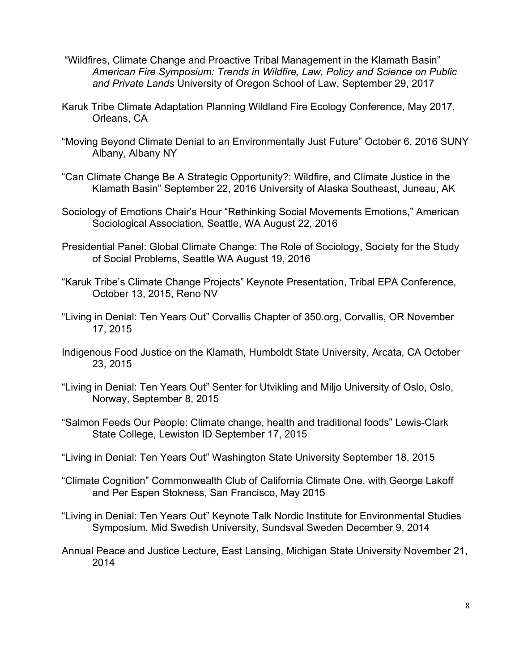- "Wildfires, Climate Change and Proactive Tribal Management in the Klamath Basin" *American Fire Symposium: Trends in Wildfire, Law, Policy and Science on Public and Private Lands* University of Oregon School of Law, September 29, 2017
- Karuk Tribe Climate Adaptation Planning Wildland Fire Ecology Conference, May 2017, Orleans, CA
- "Moving Beyond Climate Denial to an Environmentally Just Future" October 6, 2016 SUNY Albany, Albany NY
- "Can Climate Change Be A Strategic Opportunity?: Wildfire, and Climate Justice in the Klamath Basin" September 22, 2016 University of Alaska Southeast, Juneau, AK
- Sociology of Emotions Chair's Hour "Rethinking Social Movements Emotions," American Sociological Association, Seattle, WA August 22, 2016
- Presidential Panel: Global Climate Change: The Role of Sociology, Society for the Study of Social Problems, Seattle WA August 19, 2016
- "Karuk Tribe's Climate Change Projects" Keynote Presentation, Tribal EPA Conference, October 13, 2015, Reno NV
- "Living in Denial: Ten Years Out" Corvallis Chapter of 350.org, Corvallis, OR November 17, 2015
- Indigenous Food Justice on the Klamath, Humboldt State University, Arcata, CA October 23, 2015
- "Living in Denial: Ten Years Out" Senter for Utvikling and Miljo University of Oslo, Oslo, Norway, September 8, 2015
- "Salmon Feeds Our People: Climate change, health and traditional foods" Lewis-Clark State College, Lewiston ID September 17, 2015
- "Living in Denial: Ten Years Out" Washington State University September 18, 2015
- "Climate Cognition" Commonwealth Club of California Climate One, with George Lakoff and Per Espen Stokness, San Francisco, May 2015
- "Living in Denial: Ten Years Out" Keynote Talk Nordic Institute for Environmental Studies Symposium, Mid Swedish University, Sundsval Sweden December 9, 2014
- Annual Peace and Justice Lecture, East Lansing, Michigan State University November 21, 2014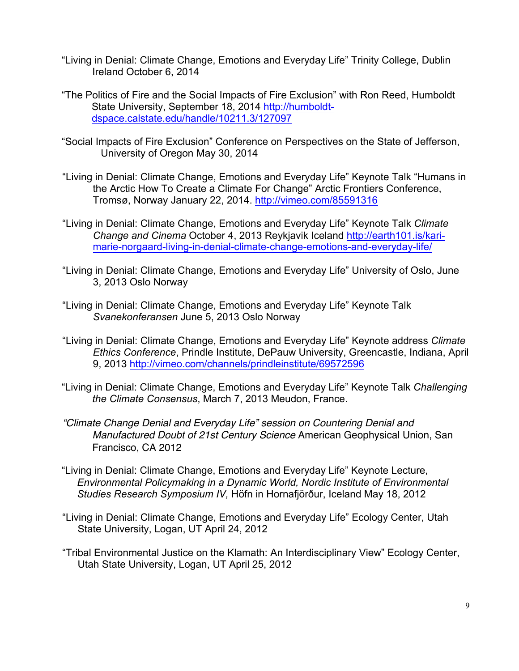- "Living in Denial: Climate Change, Emotions and Everyday Life" Trinity College, Dublin Ireland October 6, 2014
- "The Politics of Fire and the Social Impacts of Fire Exclusion" with Ron Reed, Humboldt State University, September 18, 2014 http://humboldtdspace.calstate.edu/handle/10211.3/127097
- "Social Impacts of Fire Exclusion" Conference on Perspectives on the State of Jefferson, University of Oregon May 30, 2014
- "Living in Denial: Climate Change, Emotions and Everyday Life" Keynote Talk "Humans in the Arctic How To Create a Climate For Change" Arctic Frontiers Conference, Tromsø, Norway January 22, 2014. http://vimeo.com/85591316
- "Living in Denial: Climate Change, Emotions and Everyday Life" Keynote Talk *Climate Change and Cinema* October 4, 2013 Reykjavik Iceland http://earth101.is/karimarie-norgaard-living-in-denial-climate-change-emotions-and-everyday-life/
- "Living in Denial: Climate Change, Emotions and Everyday Life" University of Oslo, June 3, 2013 Oslo Norway
- "Living in Denial: Climate Change, Emotions and Everyday Life" Keynote Talk *Svanekonferansen* June 5, 2013 Oslo Norway
- "Living in Denial: Climate Change, Emotions and Everyday Life" Keynote address *Climate Ethics Conference*, Prindle Institute, DePauw University, Greencastle, Indiana, April 9, 2013 http://vimeo.com/channels/prindleinstitute/69572596
- "Living in Denial: Climate Change, Emotions and Everyday Life" Keynote Talk *Challenging the Climate Consensus*, March 7, 2013 Meudon, France.
- *"Climate Change Denial and Everyday Life" session on Countering Denial and Manufactured Doubt of 21st Century Science* American Geophysical Union, San Francisco, CA 2012
- "Living in Denial: Climate Change, Emotions and Everyday Life" Keynote Lecture, *Environmental Policymaking in a Dynamic World, Nordic Institute of Environmental Studies Research Symposium IV,* Höfn in Hornafjörður, Iceland May 18, 2012
- "Living in Denial: Climate Change, Emotions and Everyday Life" Ecology Center, Utah State University, Logan, UT April 24, 2012
- "Tribal Environmental Justice on the Klamath: An Interdisciplinary View" Ecology Center, Utah State University, Logan, UT April 25, 2012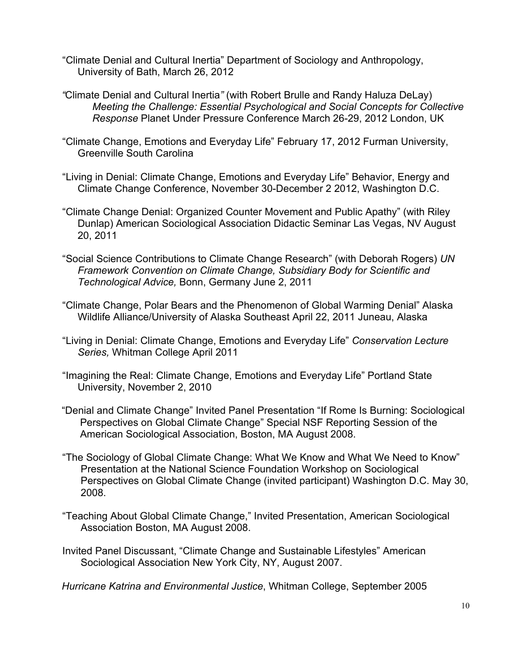- "Climate Denial and Cultural Inertia" Department of Sociology and Anthropology, University of Bath, March 26, 2012
- *"*Climate Denial and Cultural Inertia*"* (with Robert Brulle and Randy Haluza DeLay) *Meeting the Challenge: Essential Psychological and Social Concepts for Collective Response* Planet Under Pressure Conference March 26-29, 2012 London, UK
- "Climate Change, Emotions and Everyday Life" February 17, 2012 Furman University, Greenville South Carolina
- "Living in Denial: Climate Change, Emotions and Everyday Life" Behavior, Energy and Climate Change Conference, November 30-December 2 2012, Washington D.C.
- "Climate Change Denial: Organized Counter Movement and Public Apathy" (with Riley Dunlap) American Sociological Association Didactic Seminar Las Vegas, NV August 20, 2011
- "Social Science Contributions to Climate Change Research" (with Deborah Rogers) *UN Framework Convention on Climate Change, Subsidiary Body for Scientific and Technological Advice,* Bonn, Germany June 2, 2011
- "Climate Change, Polar Bears and the Phenomenon of Global Warming Denial" Alaska Wildlife Alliance/University of Alaska Southeast April 22, 2011 Juneau, Alaska
- "Living in Denial: Climate Change, Emotions and Everyday Life" *Conservation Lecture Series,* Whitman College April 2011
- "Imagining the Real: Climate Change, Emotions and Everyday Life" Portland State University, November 2, 2010
- "Denial and Climate Change" Invited Panel Presentation "If Rome Is Burning: Sociological Perspectives on Global Climate Change" Special NSF Reporting Session of the American Sociological Association, Boston, MA August 2008.
- "The Sociology of Global Climate Change: What We Know and What We Need to Know" Presentation at the National Science Foundation Workshop on Sociological Perspectives on Global Climate Change (invited participant) Washington D.C. May 30, 2008.
- "Teaching About Global Climate Change," Invited Presentation, American Sociological Association Boston, MA August 2008.
- Invited Panel Discussant, "Climate Change and Sustainable Lifestyles" American Sociological Association New York City, NY, August 2007.

*Hurricane Katrina and Environmental Justice*, Whitman College, September 2005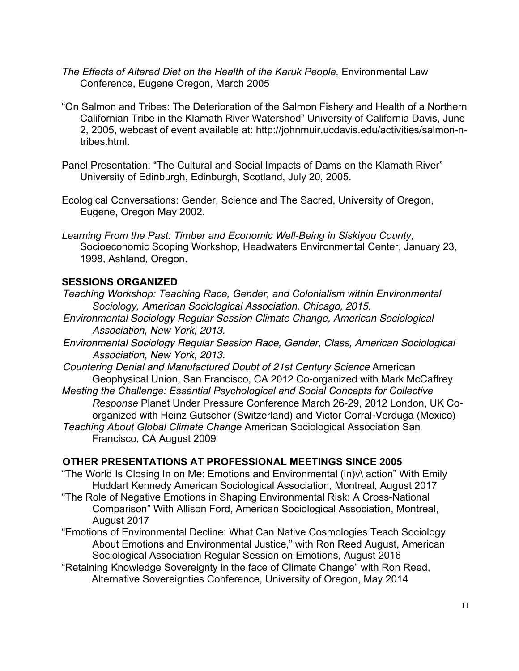- The Effects of Altered Diet on the Health of the Karuk People, Environmental Law Conference, Eugene Oregon, March 2005
- "On Salmon and Tribes: The Deterioration of the Salmon Fishery and Health of a Northern Californian Tribe in the Klamath River Watershed" University of California Davis, June 2, 2005, webcast of event available at: http://johnmuir.ucdavis.edu/activities/salmon-ntribes.html.
- Panel Presentation: "The Cultural and Social Impacts of Dams on the Klamath River" University of Edinburgh, Edinburgh, Scotland, July 20, 2005.
- Ecological Conversations: Gender, Science and The Sacred, University of Oregon, Eugene, Oregon May 2002.
- *Learning From the Past: Timber and Economic Well-Being in Siskiyou County,*  Socioeconomic Scoping Workshop, Headwaters Environmental Center, January 23, 1998, Ashland, Oregon.

# **SESSIONS ORGANIZED**

- *Teaching Workshop: Teaching Race, Gender, and Colonialism within Environmental Sociology, American Sociological Association, Chicago, 2015.*
- *Environmental Sociology Regular Session Climate Change, American Sociological Association, New York, 2013.*
- *Environmental Sociology Regular Session Race, Gender, Class, American Sociological Association, New York, 2013.*
- *Countering Denial and Manufactured Doubt of 21st Century Science* American Geophysical Union, San Francisco, CA 2012 Co-organized with Mark McCaffrey *Meeting the Challenge: Essential Psychological and Social Concepts for Collective Response* Planet Under Pressure Conference March 26-29, 2012 London, UK Coorganized with Heinz Gutscher (Switzerland) and Victor Corral-Verduga (Mexico) *Teaching About Global Climate Change* American Sociological Association San Francisco, CA August 2009

### **OTHER PRESENTATIONS AT PROFESSIONAL MEETINGS SINCE 2005**

- "The World Is Closing In on Me: Emotions and Environmental (in)v\ action" With Emily Huddart Kennedy American Sociological Association, Montreal, August 2017
- "The Role of Negative Emotions in Shaping Environmental Risk: A Cross-National Comparison" With Allison Ford, American Sociological Association, Montreal, August 2017
- "Emotions of Environmental Decline: What Can Native Cosmologies Teach Sociology About Emotions and Environmental Justice," with Ron Reed August, American Sociological Association Regular Session on Emotions, August 2016
- "Retaining Knowledge Sovereignty in the face of Climate Change" with Ron Reed, Alternative Sovereignties Conference, University of Oregon, May 2014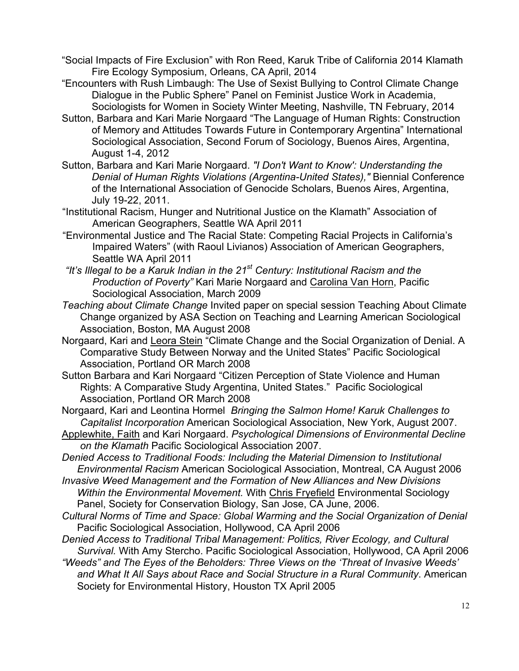- "Social Impacts of Fire Exclusion" with Ron Reed, Karuk Tribe of California 2014 Klamath Fire Ecology Symposium, Orleans, CA April, 2014
- "Encounters with Rush Limbaugh: The Use of Sexist Bullying to Control Climate Change Dialogue in the Public Sphere" Panel on Feminist Justice Work in Academia, Sociologists for Women in Society Winter Meeting, Nashville, TN February, 2014
- Sutton, Barbara and Kari Marie Norgaard "The Language of Human Rights: Construction of Memory and Attitudes Towards Future in Contemporary Argentina" International Sociological Association, Second Forum of Sociology, Buenos Aires, Argentina, August 1-4, 2012
- Sutton, Barbara and Kari Marie Norgaard. *"I Don't Want to Know': Understanding the Denial of Human Rights Violations (Argentina-United States),"* Biennial Conference of the International Association of Genocide Scholars, Buenos Aires, Argentina, July 19-22, 2011.
- "Institutional Racism, Hunger and Nutritional Justice on the Klamath" Association of American Geographers, Seattle WA April 2011
- "Environmental Justice and The Racial State: Competing Racial Projects in California's Impaired Waters" (with Raoul Livianos) Association of American Geographers, Seattle WA April 2011
- *"It's Illegal to be a Karuk Indian in the 21st Century: Institutional Racism and the Production of Poverty"* Kari Marie Norgaard and Carolina Van Horn, Pacific Sociological Association, March 2009
- *Teaching about Climate Change* Invited paper on special session Teaching About Climate Change organized by ASA Section on Teaching and Learning American Sociological Association, Boston, MA August 2008
- Norgaard, Kari and Leora Stein "Climate Change and the Social Organization of Denial. A Comparative Study Between Norway and the United States" Pacific Sociological Association, Portland OR March 2008
- Sutton Barbara and Kari Norgaard "Citizen Perception of State Violence and Human Rights: A Comparative Study Argentina, United States." Pacific Sociological Association, Portland OR March 2008
- Norgaard, Kari and Leontina Hormel *Bringing the Salmon Home! Karuk Challenges to Capitalist Incorporation* American Sociological Association, New York, August 2007.
- Applewhite, Faith and Kari Norgaard. *Psychological Dimensions of Environmental Decline on the Klamath* Pacific Sociological Association 2007.
- *Denied Access to Traditional Foods: Including the Material Dimension to Institutional Environmental Racism* American Sociological Association, Montreal, CA August 2006
- *Invasive Weed Management and the Formation of New Alliances and New Divisions Within the Environmental Movement.* With Chris Fryefield Environmental Sociology Panel, Society for Conservation Biology, San Jose, CA June, 2006.
- *Cultural Norms of Time and Space: Global Warming and the Social Organization of Denial*  Pacific Sociological Association, Hollywood, CA April 2006
- *Denied Access to Traditional Tribal Management: Politics, River Ecology, and Cultural Survival.* With Amy Stercho. Pacific Sociological Association, Hollywood, CA April 2006
- *"Weeds" and The Eyes of the Beholders: Three Views on the 'Threat of Invasive Weeds' and What It All Says about Race and Social Structure in a Rural Community*. American Society for Environmental History, Houston TX April 2005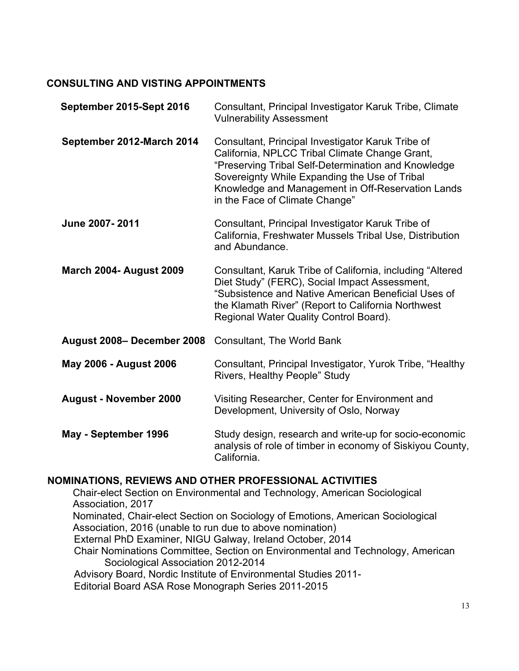# **CONSULTING AND VISTING APPOINTMENTS**

| September 2015-Sept 2016       | Consultant, Principal Investigator Karuk Tribe, Climate<br><b>Vulnerability Assessment</b>                                                                                                                                                                                                         |
|--------------------------------|----------------------------------------------------------------------------------------------------------------------------------------------------------------------------------------------------------------------------------------------------------------------------------------------------|
| September 2012-March 2014      | Consultant, Principal Investigator Karuk Tribe of<br>California, NPLCC Tribal Climate Change Grant,<br>"Preserving Tribal Self-Determination and Knowledge<br>Sovereignty While Expanding the Use of Tribal<br>Knowledge and Management in Off-Reservation Lands<br>in the Face of Climate Change" |
| June 2007-2011                 | Consultant, Principal Investigator Karuk Tribe of<br>California, Freshwater Mussels Tribal Use, Distribution<br>and Abundance.                                                                                                                                                                     |
| <b>March 2004- August 2009</b> | Consultant, Karuk Tribe of California, including "Altered<br>Diet Study" (FERC), Social Impact Assessment,<br>"Subsistence and Native American Beneficial Uses of<br>the Klamath River" (Report to California Northwest<br>Regional Water Quality Control Board).                                  |
| August 2008- December 2008     | Consultant, The World Bank                                                                                                                                                                                                                                                                         |
| <b>May 2006 - August 2006</b>  | Consultant, Principal Investigator, Yurok Tribe, "Healthy<br>Rivers, Healthy People" Study                                                                                                                                                                                                         |
| <b>August - November 2000</b>  | Visiting Researcher, Center for Environment and<br>Development, University of Oslo, Norway                                                                                                                                                                                                         |
| May - September 1996           | Study design, research and write-up for socio-economic<br>analysis of role of timber in economy of Siskiyou County,<br>California.                                                                                                                                                                 |

# **NOMINATIONS, REVIEWS AND OTHER PROFESSIONAL ACTIVITIES**

Chair-elect Section on Environmental and Technology, American Sociological Association, 2017 Nominated, Chair-elect Section on Sociology of Emotions, American Sociological Association, 2016 (unable to run due to above nomination) External PhD Examiner, NIGU Galway, Ireland October, 2014 Chair Nominations Committee, Section on Environmental and Technology, American Sociological Association 2012-2014 Advisory Board, Nordic Institute of Environmental Studies 2011- Editorial Board ASA Rose Monograph Series 2011-2015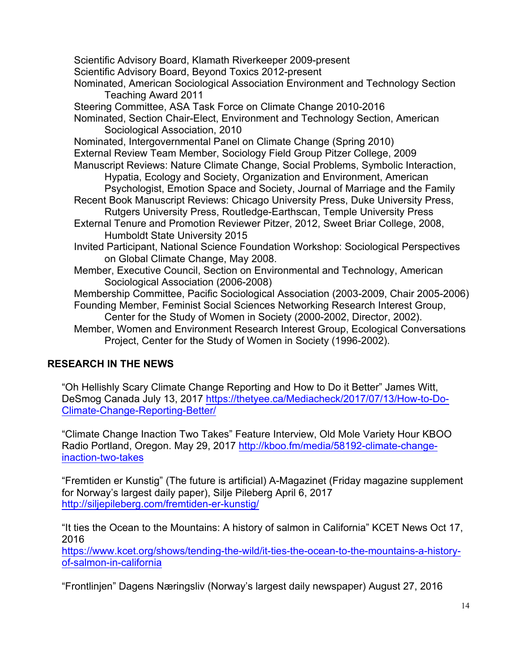Scientific Advisory Board, Klamath Riverkeeper 2009-present Scientific Advisory Board, Beyond Toxics 2012-present Nominated, American Sociological Association Environment and Technology Section Teaching Award 2011 Steering Committee, ASA Task Force on Climate Change 2010-2016 Nominated, Section Chair-Elect, Environment and Technology Section, American Sociological Association, 2010 Nominated, Intergovernmental Panel on Climate Change (Spring 2010) External Review Team Member, Sociology Field Group Pitzer College, 2009 Manuscript Reviews: Nature Climate Change, Social Problems, Symbolic Interaction, Hypatia, Ecology and Society, Organization and Environment, American Psychologist, Emotion Space and Society, Journal of Marriage and the Family Recent Book Manuscript Reviews: Chicago University Press, Duke University Press, Rutgers University Press, Routledge-Earthscan, Temple University Press External Tenure and Promotion Reviewer Pitzer, 2012, Sweet Briar College, 2008, Humboldt State University 2015 Invited Participant, National Science Foundation Workshop: Sociological Perspectives on Global Climate Change, May 2008. Member, Executive Council, Section on Environmental and Technology, American Sociological Association (2006-2008) Membership Committee, Pacific Sociological Association (2003-2009, Chair 2005-2006) Founding Member, Feminist Social Sciences Networking Research Interest Group, Center for the Study of Women in Society (2000-2002, Director, 2002). Member, Women and Environment Research Interest Group, Ecological Conversations Project, Center for the Study of Women in Society (1996-2002).

# **RESEARCH IN THE NEWS**

"Oh Hellishly Scary Climate Change Reporting and How to Do it Better" James Witt, DeSmog Canada July 13, 2017 https://thetyee.ca/Mediacheck/2017/07/13/How-to-Do-Climate-Change-Reporting-Better/

"Climate Change Inaction Two Takes" Feature Interview, Old Mole Variety Hour KBOO Radio Portland, Oregon. May 29, 2017 http://kboo.fm/media/58192-climate-changeinaction-two-takes

"Fremtiden er Kunstig" (The future is artificial) A-Magazinet (Friday magazine supplement for Norway's largest daily paper), Silje Pileberg April 6, 2017 http://siljepileberg.com/fremtiden-er-kunstig/

"It ties the Ocean to the Mountains: A history of salmon in California" KCET News Oct 17, 2016

https://www.kcet.org/shows/tending-the-wild/it-ties-the-ocean-to-the-mountains-a-historyof-salmon-in-california

"Frontlinjen" Dagens Næringsliv (Norway's largest daily newspaper) August 27, 2016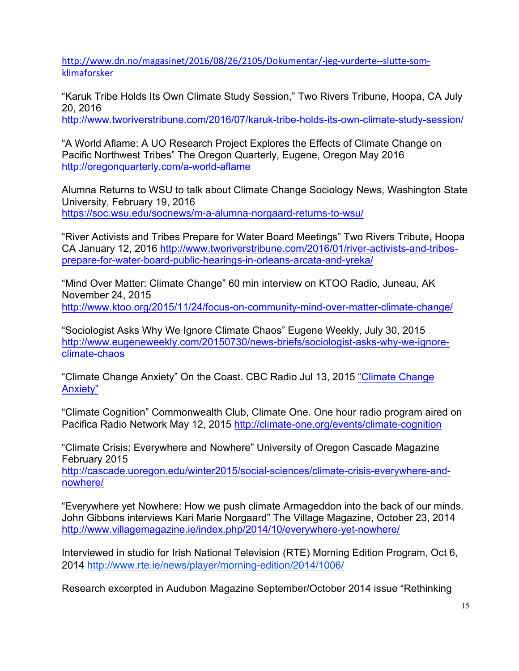http://www.dn.no/magasinet/2016/08/26/2105/Dokumentar/-jeg-vurderte--slutte-somklimaforsker

"Karuk Tribe Holds Its Own Climate Study Session," Two Rivers Tribune, Hoopa, CA July 20, 2016

http://www.tworiverstribune.com/2016/07/karuk-tribe-holds-its-own-climate-study-session/

"A World Aflame: A UO Research Project Explores the Effects of Climate Change on Pacific Northwest Tribes" The Oregon Quarterly, Eugene, Oregon May 2016 http://oregonquarterly.com/a-world-aflame

Alumna Returns to WSU to talk about Climate Change Sociology News, Washington State University, February 19, 2016 https://soc.wsu.edu/socnews/m-a-alumna-norgaard-returns-to-wsu/

"River Activists and Tribes Prepare for Water Board Meetings" Two Rivers Tribute, Hoopa CA January 12, 2016 http://www.tworiverstribune.com/2016/01/river-activists-and-tribesprepare-for-water-board-public-hearings-in-orleans-arcata-and-yreka/

"Mind Over Matter: Climate Change" 60 min interview on KTOO Radio, Juneau, AK November 24, 2015 http://www.ktoo.org/2015/11/24/focus-on-community-mind-over-matter-climate-change/

"Sociologist Asks Why We Ignore Climate Chaos" Eugene Weekly, July 30, 2015 http://www.eugeneweekly.com/20150730/news-briefs/sociologist-asks-why-we-ignoreclimate-chaos

"Climate Change Anxiety" On the Coast. CBC Radio Jul 13, 2015 "Climate Change Anxiety"

"Climate Cognition" Commonwealth Club, Climate One. One hour radio program aired on Pacifica Radio Network May 12, 2015 http://climate-one.org/events/climate-cognition

"Climate Crisis: Everywhere and Nowhere" University of Oregon Cascade Magazine February 2015

http://cascade.uoregon.edu/winter2015/social-sciences/climate-crisis-everywhere-andnowhere/

"Everywhere yet Nowhere: How we push climate Armageddon into the back of our minds. John Gibbons interviews Kari Marie Norgaard" The Village Magazine, October 23, 2014 http://www.villagemagazine.ie/index.php/2014/10/everywhere-yet-nowhere/

Interviewed in studio for Irish National Television (RTE) Morning Edition Program, Oct 6, 2014 http://www.rte.ie/news/player/morning-edition/2014/1006/

Research excerpted in Audubon Magazine September/October 2014 issue "Rethinking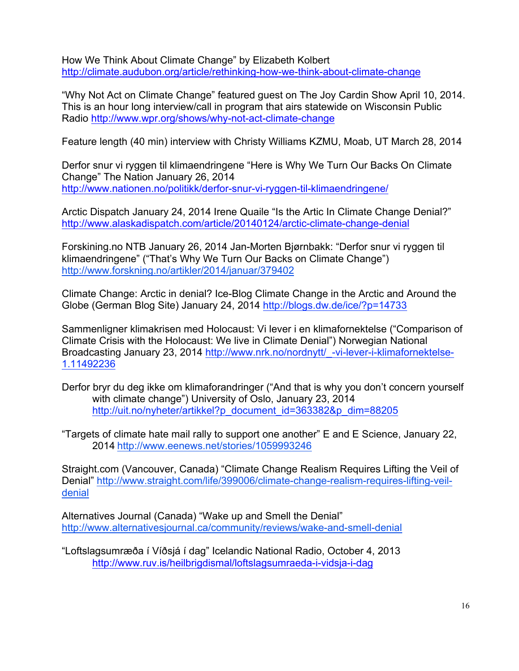How We Think About Climate Change" by Elizabeth Kolbert http://climate.audubon.org/article/rethinking-how-we-think-about-climate-change

"Why Not Act on Climate Change" featured guest on The Joy Cardin Show April 10, 2014. This is an hour long interview/call in program that airs statewide on Wisconsin Public Radio http://www.wpr.org/shows/why-not-act-climate-change

Feature length (40 min) interview with Christy Williams KZMU, Moab, UT March 28, 2014

Derfor snur vi ryggen til klimaendringene "Here is Why We Turn Our Backs On Climate Change" The Nation January 26, 2014 http://www.nationen.no/politikk/derfor-snur-vi-ryggen-til-klimaendringene/

Arctic Dispatch January 24, 2014 Irene Quaile "Is the Artic In Climate Change Denial?" http://www.alaskadispatch.com/article/20140124/arctic-climate-change-denial

Forskining.no NTB January 26, 2014 Jan-Morten Bjørnbakk: "Derfor snur vi ryggen til klimaendringene" ("That's Why We Turn Our Backs on Climate Change") http://www.forskning.no/artikler/2014/januar/379402

Climate Change: Arctic in denial? Ice-Blog Climate Change in the Arctic and Around the Globe (German Blog Site) January 24, 2014 http://blogs.dw.de/ice/?p=14733

Sammenligner klimakrisen med Holocaust: Vi lever i en klimafornektelse ("Comparison of Climate Crisis with the Holocaust: We live in Climate Denial") Norwegian National Broadcasting January 23, 2014 http://www.nrk.no/nordnytt/ -vi-lever-i-klimafornektelse-1.11492236

- Derfor bryr du deg ikke om klimaforandringer ("And that is why you don't concern yourself with climate change") University of Oslo, January 23, 2014 http://uit.no/nyheter/artikkel?p\_document\_id=363382&p\_dim=88205
- "Targets of climate hate mail rally to support one another" E and E Science, January 22, 2014 http://www.eenews.net/stories/1059993246

Straight.com (Vancouver, Canada) "Climate Change Realism Requires Lifting the Veil of Denial" http://www.straight.com/life/399006/climate-change-realism-requires-lifting-veildenial

Alternatives Journal (Canada) "Wake up and Smell the Denial" http://www.alternativesjournal.ca/community/reviews/wake-and-smell-denial

"Loftslagsumræða í Víðsjá í dag" Icelandic National Radio, October 4, 2013 http://www.ruv.is/heilbrigdismal/loftslagsumraeda-i-vidsja-i-dag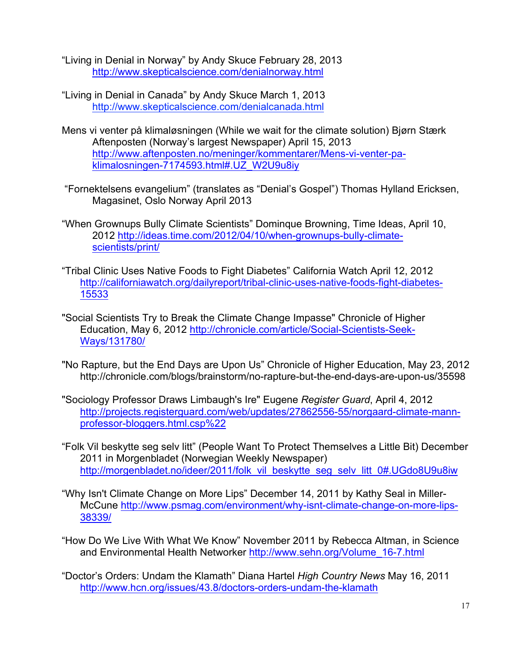"Living in Denial in Norway" by Andy Skuce February 28, 2013 http://www.skepticalscience.com/denialnorway.html

- "Living in Denial in Canada" by Andy Skuce March 1, 2013 http://www.skepticalscience.com/denialcanada.html
- Mens vi venter på klimaløsningen (While we wait for the climate solution) Bjørn Stærk Aftenposten (Norway's largest Newspaper) April 15, 2013 http://www.aftenposten.no/meninger/kommentarer/Mens-vi-venter-paklimalosningen-7174593.html#.UZ\_W2U9u8iy
- "Fornektelsens evangelium" (translates as "Denial's Gospel") Thomas Hylland Ericksen, Magasinet, Oslo Norway April 2013
- "When Grownups Bully Climate Scientists" Dominque Browning, Time Ideas, April 10, 2012 http://ideas.time.com/2012/04/10/when-grownups-bully-climatescientists/print/
- "Tribal Clinic Uses Native Foods to Fight Diabetes" California Watch April 12, 2012 http://californiawatch.org/dailyreport/tribal-clinic-uses-native-foods-fight-diabetes-15533
- "Social Scientists Try to Break the Climate Change Impasse" Chronicle of Higher Education, May 6, 2012 http://chronicle.com/article/Social-Scientists-Seek-Ways/131780/
- "No Rapture, but the End Days are Upon Us" Chronicle of Higher Education, May 23, 2012 http://chronicle.com/blogs/brainstorm/no-rapture-but-the-end-days-are-upon-us/35598
- "Sociology Professor Draws Limbaugh's Ire" Eugene *Register Guard*, April 4, 2012 http://projects.registerguard.com/web/updates/27862556-55/norgaard-climate-mannprofessor-bloggers.html.csp%22
- "Folk Vil beskytte seg selv litt" (People Want To Protect Themselves a Little Bit) December 2011 in Morgenbladet (Norwegian Weekly Newspaper) http://morgenbladet.no/ideer/2011/folk\_vil\_beskytte\_seg\_selv\_litt\_0#.UGdo8U9u8iw
- "Why Isn't Climate Change on More Lips" December 14, 2011 by Kathy Seal in Miller-McCune http://www.psmag.com/environment/why-isnt-climate-change-on-more-lips-38339/
- "How Do We Live With What We Know" November 2011 by Rebecca Altman, in Science and Environmental Health Networker http://www.sehn.org/Volume\_16-7.html
- "Doctor's Orders: Undam the Klamath" Diana Hartel *High Country News* May 16, 2011 http://www.hcn.org/issues/43.8/doctors-orders-undam-the-klamath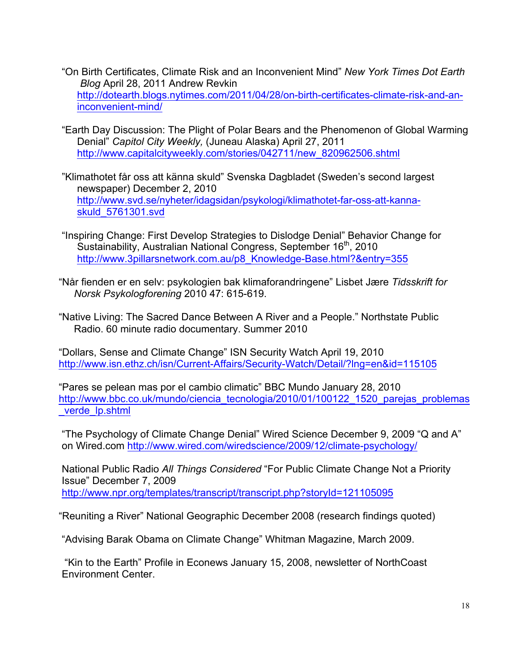- "On Birth Certificates, Climate Risk and an Inconvenient Mind" *New York Times Dot Earth Blog* April 28, 2011 Andrew Revkin http://dotearth.blogs.nytimes.com/2011/04/28/on-birth-certificates-climate-risk-and-aninconvenient-mind/
- "Earth Day Discussion: The Plight of Polar Bears and the Phenomenon of Global Warming Denial" *Capitol City Weekly,* (Juneau Alaska) April 27, 2011 http://www.capitalcityweekly.com/stories/042711/new\_820962506.shtml
- "Klimathotet får oss att känna skuld" Svenska Dagbladet (Sweden's second largest newspaper) December 2, 2010 http://www.svd.se/nyheter/idagsidan/psykologi/klimathotet-far-oss-att-kannaskuld\_5761301.svd
- "Inspiring Change: First Develop Strategies to Dislodge Denial" Behavior Change for Sustainability, Australian National Congress, September 16<sup>th</sup>, 2010 http://www.3pillarsnetwork.com.au/p8\_Knowledge-Base.html?&entry=355
- "Når fienden er en selv: psykologien bak klimaforandringene" Lisbet Jære *Tidsskrift for Norsk Psykologforening* 2010 47: 615-619.

"Native Living: The Sacred Dance Between A River and a People." Northstate Public Radio. 60 minute radio documentary. Summer 2010

"Dollars, Sense and Climate Change" ISN Security Watch April 19, 2010 http://www.isn.ethz.ch/isn/Current-Affairs/Security-Watch/Detail/?lng=en&id=115105

"Pares se pelean mas por el cambio climatic" BBC Mundo January 28, 2010 http://www.bbc.co.uk/mundo/ciencia\_tecnologia/2010/01/100122\_1520\_parejas\_problemas \_verde\_lp.shtml

"The Psychology of Climate Change Denial" Wired Science December 9, 2009 "Q and A" on Wired.com http://www.wired.com/wiredscience/2009/12/climate-psychology/

National Public Radio *All Things Considered* "For Public Climate Change Not a Priority Issue" December 7, 2009 http://www.npr.org/templates/transcript/transcript.php?storyId=121105095

"Reuniting a River" National Geographic December 2008 (research findings quoted)

"Advising Barak Obama on Climate Change" Whitman Magazine, March 2009.

"Kin to the Earth" Profile in Econews January 15, 2008, newsletter of NorthCoast Environment Center.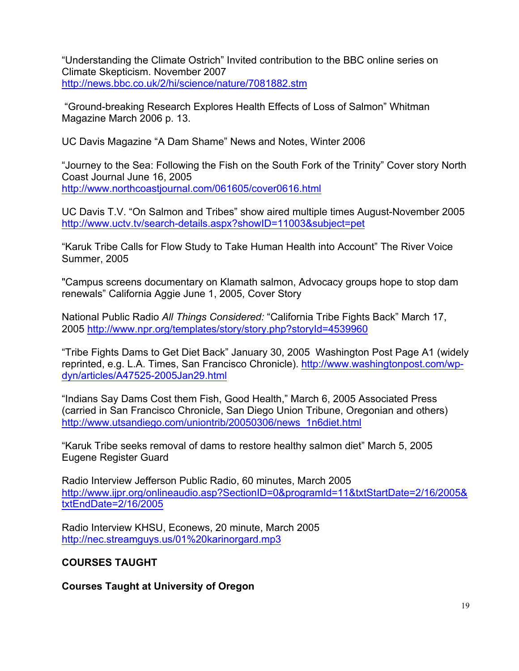"Understanding the Climate Ostrich" Invited contribution to the BBC online series on Climate Skepticism. November 2007 http://news.bbc.co.uk/2/hi/science/nature/7081882.stm

"Ground-breaking Research Explores Health Effects of Loss of Salmon" Whitman Magazine March 2006 p. 13.

UC Davis Magazine "A Dam Shame" News and Notes, Winter 2006

"Journey to the Sea: Following the Fish on the South Fork of the Trinity" Cover story North Coast Journal June 16, 2005 http://www.northcoastjournal.com/061605/cover0616.html

UC Davis T.V. "On Salmon and Tribes" show aired multiple times August-November 2005 http://www.uctv.tv/search-details.aspx?showID=11003&subject=pet

"Karuk Tribe Calls for Flow Study to Take Human Health into Account" The River Voice Summer, 2005

"Campus screens documentary on Klamath salmon, Advocacy groups hope to stop dam renewals" California Aggie June 1, 2005, Cover Story

National Public Radio *All Things Considered:* "California Tribe Fights Back" March 17, 2005 http://www.npr.org/templates/story/story.php?storyId=4539960

"Tribe Fights Dams to Get Diet Back" January 30, 2005 Washington Post Page A1 (widely reprinted, e.g. L.A. Times, San Francisco Chronicle). http://www.washingtonpost.com/wpdyn/articles/A47525-2005Jan29.html

"Indians Say Dams Cost them Fish, Good Health," March 6, 2005 Associated Press (carried in San Francisco Chronicle, San Diego Union Tribune, Oregonian and others) http://www.utsandiego.com/uniontrib/20050306/news\_1n6diet.html

"Karuk Tribe seeks removal of dams to restore healthy salmon diet" March 5, 2005 Eugene Register Guard

Radio Interview Jefferson Public Radio, 60 minutes, March 2005 http://www.ijpr.org/onlineaudio.asp?SectionID=0&programId=11&txtStartDate=2/16/2005& txtEndDate=2/16/2005

Radio Interview KHSU, Econews, 20 minute, March 2005 http://nec.streamguys.us/01%20karinorgard.mp3

# **COURSES TAUGHT**

**Courses Taught at University of Oregon**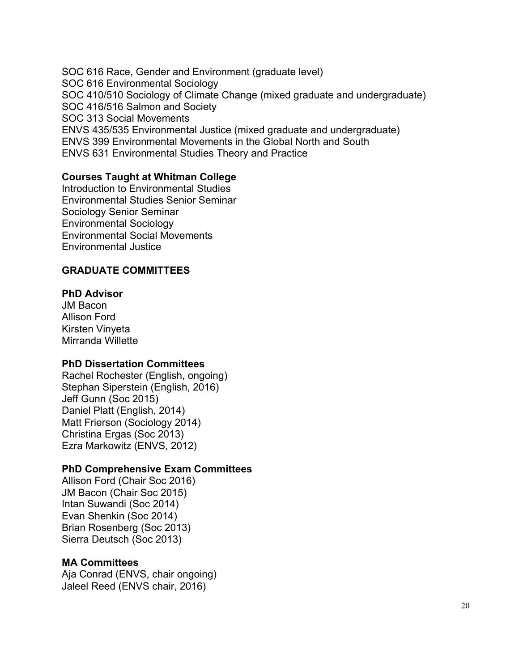SOC 616 Race, Gender and Environment (graduate level) SOC 616 Environmental Sociology SOC 410/510 Sociology of Climate Change (mixed graduate and undergraduate) SOC 416/516 Salmon and Society SOC 313 Social Movements ENVS 435/535 Environmental Justice (mixed graduate and undergraduate) ENVS 399 Environmental Movements in the Global North and South ENVS 631 Environmental Studies Theory and Practice

### **Courses Taught at Whitman College**

Introduction to Environmental Studies Environmental Studies Senior Seminar Sociology Senior Seminar Environmental Sociology Environmental Social Movements Environmental Justice

### **GRADUATE COMMITTEES**

#### **PhD Advisor**

JM Bacon Allison Ford Kirsten Vinyeta Mirranda Willette

#### **PhD Dissertation Committees**

Rachel Rochester (English, ongoing) Stephan Siperstein (English, 2016) Jeff Gunn (Soc 2015) Daniel Platt (English, 2014) Matt Frierson (Sociology 2014) Christina Ergas (Soc 2013) Ezra Markowitz (ENVS, 2012)

#### **PhD Comprehensive Exam Committees**

Allison Ford (Chair Soc 2016) JM Bacon (Chair Soc 2015) Intan Suwandi (Soc 2014) Evan Shenkin (Soc 2014) Brian Rosenberg (Soc 2013) Sierra Deutsch (Soc 2013)

#### **MA Committees**

Aja Conrad (ENVS, chair ongoing) Jaleel Reed (ENVS chair, 2016)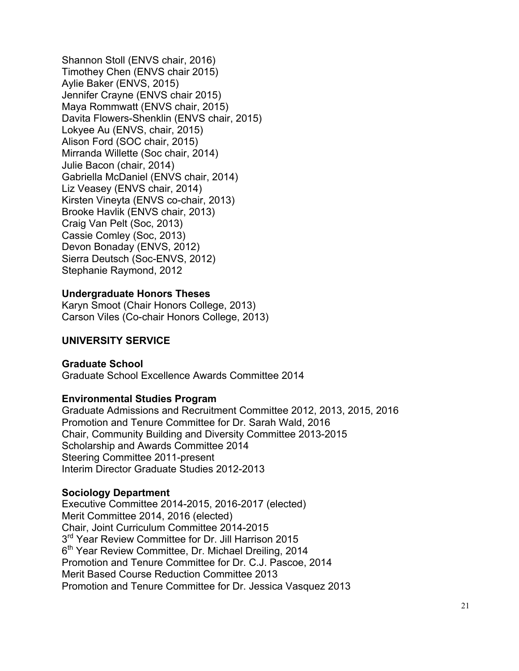Shannon Stoll (ENVS chair, 2016) Timothey Chen (ENVS chair 2015) Aylie Baker (ENVS, 2015) Jennifer Crayne (ENVS chair 2015) Maya Rommwatt (ENVS chair, 2015) Davita Flowers-Shenklin (ENVS chair, 2015) Lokyee Au (ENVS, chair, 2015) Alison Ford (SOC chair, 2015) Mirranda Willette (Soc chair, 2014) Julie Bacon (chair, 2014) Gabriella McDaniel (ENVS chair, 2014) Liz Veasey (ENVS chair, 2014) Kirsten Vineyta (ENVS co-chair, 2013) Brooke Havlik (ENVS chair, 2013) Craig Van Pelt (Soc, 2013) Cassie Comley (Soc, 2013) Devon Bonaday (ENVS, 2012) Sierra Deutsch (Soc-ENVS, 2012) Stephanie Raymond, 2012

### **Undergraduate Honors Theses**

Karyn Smoot (Chair Honors College, 2013) Carson Viles (Co-chair Honors College, 2013)

### **UNIVERSITY SERVICE**

### **Graduate School**

Graduate School Excellence Awards Committee 2014

#### **Environmental Studies Program**

Graduate Admissions and Recruitment Committee 2012, 2013, 2015, 2016 Promotion and Tenure Committee for Dr. Sarah Wald, 2016 Chair, Community Building and Diversity Committee 2013-2015 Scholarship and Awards Committee 2014 Steering Committee 2011-present Interim Director Graduate Studies 2012-2013

#### **Sociology Department**

Executive Committee 2014-2015, 2016-2017 (elected) Merit Committee 2014, 2016 (elected) Chair, Joint Curriculum Committee 2014-2015 3<sup>rd</sup> Year Review Committee for Dr. Jill Harrison 2015 6<sup>th</sup> Year Review Committee, Dr. Michael Dreiling, 2014 Promotion and Tenure Committee for Dr. C.J. Pascoe, 2014 Merit Based Course Reduction Committee 2013 Promotion and Tenure Committee for Dr. Jessica Vasquez 2013